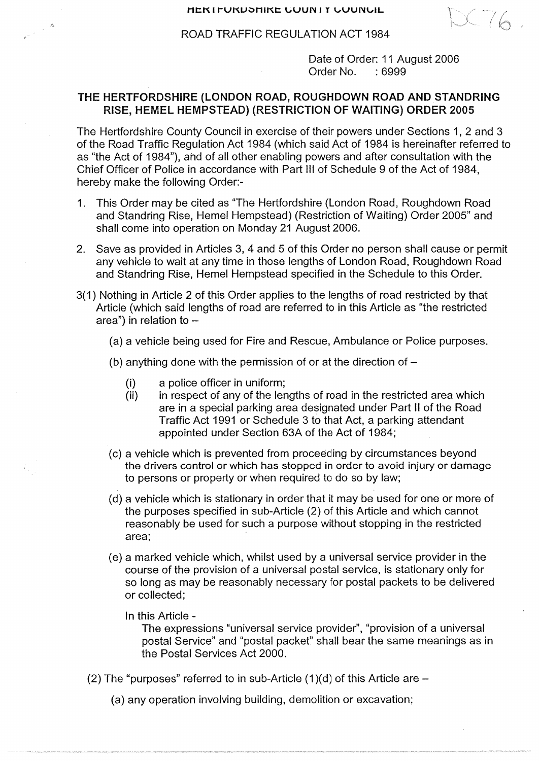$X - 16$ 

ROAD TRAFFIC REGULATION ACT 1984

Date of Order: **11 August 2006 Order No. :6999**

## THE HERTFORDSHIRE (LONDON ROAD, ROUGHDOWN ROAD AND STANDRING RISE, HEMEL HEMPSTEAD) (RESTRICTION OF WAITING) ORDER 2005

The Hertfordshire County Council in exercise of their powers under Sections 1, 2 and 3 of the Road Traffic Regulation Act 1984 (which said Act of 1984 is hereinafter referred to as "the Act of 1984"), and of all other enabling powers and after consultation with the Chief Officer of Police in accordance with Part III of Schedule 9 of the Act of 1984, hereby make the following Order:-

- 1. This Order may be cited as "The Hertfordshire (London Road, Roughdown Road and Standring Rise, Hemel Hempstead) (Restriction of Waiting) Order 2005" and shall come into operation on Monday 21 August 2006.
- 2. Save as provided in Articles 3, 4 and 5 of this Order no person shall cause or permit any vehicle to wait at any time in those lengths of London Road, Roughdown Road and Standring Rise, Hemel Hempstead specified in the Schedule to this Order.
- 3(1) Nothing in Article 2 of this Order applies to the lengths of road restricted by that Article (which said lengths of road are referred to in this Article as "the restricted area") in relation to -
	- (a) a vehicle being used for Fire and Rescue, Ambulance or Police purposes.
	- (b) anything done with the permission of or at the direction of
		- (i) a police officer in uniform;

 $\sim$  $\sim$   $\omega$ 

- (ii) in respect of any of the lengths of road in the restricted area which are in a special parking area designated under Part II of the Road Traffic Act 1991 or Schedule 3 to that Act, a parking attendant appointed under Section 63A of the Act of 1984;
- (c) a vehicle which is prevented from proceeding by circumstances beyond the drivers control or which has stopped in order to avoid injury or damage to persons or property or when required to do so by law;
- (d) a vehicle which is stationary in order that it may be used for one or more of the purposes specified in sub-Article (2) of this Article and which cannot reasonably be used for such a purpose without stopping in the restricted area;
- (e) a marked vehicle which, whilst used by a universal service provider in the course of the provision of a universal postal service, is stationary only for so long as may be reasonably necessary for postal packets to be delivered or collected;
	- In this Article -

The expressions "universal service provider", "provision of a universal postal Service" and "postal packet" shall bear the same meanings as in the Postal Services Act 2000.

- (2) The "purposes" referred to in sub-Article (1)(d) of this Article are
	- (a) any operation involving building, demolition or excavation;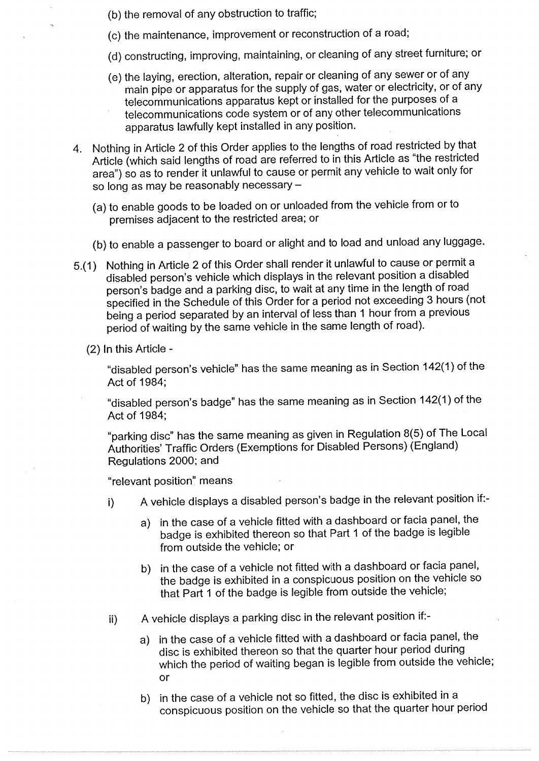- (b) the removal of any obstruction to traffic;
- (c) the maintenance, improvement or reconstruction of a road;
- (d) constructing, improving, maintaining, or cleaning of any street furniture.; or
- (e) the laying, erection, alteration, repair or cleaning of any sewer or of any<br>main pipe or apparatus for the supply of gas, water or electricity, or of any<br>telecommunications apparatus kept or installed for the purposes telecommunications code system or of any other telecommunications apparatus lawfully kept installed in any position.
- 4. Nothing in Article 2 of this Order applies to the lengths of road restricted by that Article (which said lengths of road are referred to in this Article as "the restricted area") so as to render it unlawful to cause or permit any vehicle to wait only for so long as may be reasonably necessary -
	- (a) to enable goods to be loaded on or unloaded from the vehicle from or to premises adjacent to the restricted area; or
	- (b) to enable a passenger to board or alight and to load and unload any luggage.
- 5.(1) Nothing in Article 2 of this Order shall render it unlawful to cause or permit a disabled person's vehicle which displays in the relevant position a disabled specified in the Schedule of this Order for a period not exceeding 3 hours (not being a period separated by an interval of less than 1 hour from a previous period of waiting by the same vehicle in the same length of road).
	- (2) In this Article -

"disabled person's vehicle" **has the same meaning as** in Section 142(1) of the Act of 1984;

**"disabled person's badge" has the same meaning as** in Section 142(1) of the Act of 1984;

**"parking disc" has the same meaning as given in Regulation 8(5) of** The Local Authorities' Traffic Orders **(Exemptions for Disabled Persons) (England) Regulations 2000; and**

"relevant position" means

- i) A vehicle displays a disabled person's badge in the relevant position if:
	- a) in the case of a vehicle fitted with a dashboard or facia panel, the badge is exhibited thereon so that Part 1 of the badge is legible from outside the vehicle; or
	- b) in the case of a vehicle not fitted with a dashboard or facia panel, the badge is exhibited in a conspicuous position on the vehicle so that Part 1 of the badge is legible from outside the vehicle;
- A vehicle displays a parking disc in the relevant position if:-  $\mathbf{ii}$ 
	- a) in the case of a vehicle fitted with a dashboard or facia panel, the disc is exhibited thereon so that the quarter hour period during which the period of waiting began is legible from outside the vehicle; or
	- b) in the case of a vehicle not so fitted, the disc is exhibited in a conspicuous position on the vehicle so that the quarter hour period